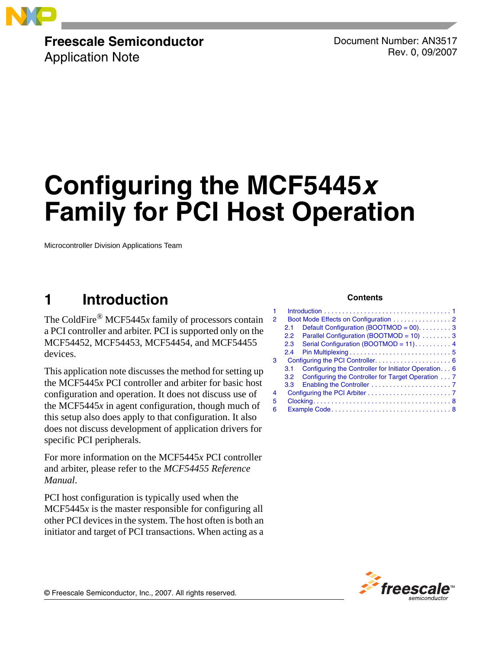

# **Freescale Semiconductor**

Application Note

Document Number: AN3517 Rev. 0, 09/2007

# **Configuring the MCF5445***x* **Family for PCI Host Operation**

Microcontroller Division Applications Team

## <span id="page-0-0"></span>**1 Introduction**

The ColdFire® MCF5445*x* family of processors contain a PCI controller and arbiter. PCI is supported only on the MCF54452, MCF54453, MCF54454, and MCF54455 devices.

This application note discusses the method for setting up the MCF5445*x* PCI controller and arbiter for basic host configuration and operation. It does not discuss use of the MCF5445*x* in agent configuration, though much of this setup also does apply to that configuration. It also does not discuss development of application drivers for specific PCI peripherals.

For more information on the MCF5445*x* PCI controller and arbiter, please refer to the *MCF54455 Reference Manual*.

PCI host configuration is typically used when the MCF5445*x* is the master responsible for configuring all other PCI devices in the system. The host often is both an initiator and target of PCI transactions. When acting as a

### **Contents**

| 1                       |                                      |                                                       |  |  |
|-------------------------|--------------------------------------|-------------------------------------------------------|--|--|
| 2                       | Boot Mode Effects on Configuration 2 |                                                       |  |  |
|                         | 2.1                                  | Default Configuration (BOOTMOD = $00$ )3              |  |  |
|                         | 2.2                                  | Parallel Configuration (BOOTMOD = $10$ ) 3            |  |  |
|                         | 2.3                                  | Serial Configuration (BOOTMOD = $11$ )4               |  |  |
|                         | 2.4                                  |                                                       |  |  |
| 3                       |                                      |                                                       |  |  |
|                         | 3.1                                  | Configuring the Controller for Initiator Operation. 6 |  |  |
|                         | 3.2                                  | Configuring the Controller for Target Operation 7     |  |  |
|                         | 3.3 <sup>°</sup>                     |                                                       |  |  |
| $\overline{\mathbf{4}}$ |                                      |                                                       |  |  |
| 5                       |                                      |                                                       |  |  |
| 6                       |                                      |                                                       |  |  |



© Freescale Semiconductor, Inc., 2007. All rights reserved.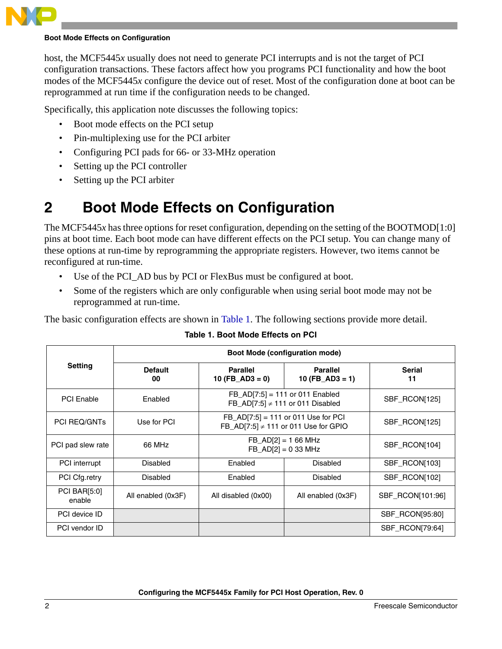

### **Boot Mode Effects on Configuration**

host, the MCF5445*x* usually does not need to generate PCI interrupts and is not the target of PCI configuration transactions. These factors affect how you programs PCI functionality and how the boot modes of the MCF5445*x* configure the device out of reset. Most of the configuration done at boot can be reprogrammed at run time if the configuration needs to be changed.

Specifically, this application note discusses the following topics:

- Boot mode effects on the PCI setup
- Pin-multiplexing use for the PCI arbiter
- Configuring PCI pads for 66- or 33-MHz operation
- Setting up the PCI controller
- Setting up the PCI arbiter

## <span id="page-1-0"></span>**2 Boot Mode Effects on Configuration**

The MCF5445*x* has three options for reset configuration, depending on the setting of the BOOTMOD[1:0] pins at boot time. Each boot mode can have different effects on the PCI setup. You can change many of these options at run-time by reprogramming the appropriate registers. However, two items cannot be reconfigured at run-time.

- Use of the PCI\_AD bus by PCI or FlexBus must be configured at boot.
- Some of the registers which are only configurable when using serial boot mode may not be reprogrammed at run-time.

<span id="page-1-1"></span>The basic configuration effects are shown in [Table 1](#page-1-1). The following sections provide more detail.

|                               | <b>Boot Mode (configuration mode)</b>                                                               |                                                                              |                                    |                     |  |  |
|-------------------------------|-----------------------------------------------------------------------------------------------------|------------------------------------------------------------------------------|------------------------------------|---------------------|--|--|
| <b>Setting</b>                | <b>Default</b><br>00                                                                                | <b>Parallel</b><br>10 (FB_AD3 = 0)                                           | <b>Parallel</b><br>10 (FB_AD3 = 1) | <b>Serial</b><br>11 |  |  |
| <b>PCI</b> Enable             | Enabled                                                                                             | $FB$ $AD[7:5] = 111$ or 011 Enabled<br>FB_AD[7:5] $\neq$ 111 or 011 Disabled |                                    | SBF_RCON[125]       |  |  |
| <b>PCI REQ/GNTs</b>           | $FB$ $AD[7:5] = 111$ or 011 Use for PCI<br>Use for PCI<br>FB_AD[7:5] $\neq$ 111 or 011 Use for GPIO |                                                                              |                                    | SBF_RCON[125]       |  |  |
| PCI pad slew rate             | 66 MHz                                                                                              | $FB$ $AD[2] = 166$ MHz<br>$FB_AD[2] = 0.33 MHz$                              |                                    | SBF RCON[104]       |  |  |
| <b>PCI</b> interrupt          | Disabled                                                                                            | Disabled<br>Enabled                                                          |                                    | SBF RCON[103]       |  |  |
| PCI Cfg.retry                 | Disabled                                                                                            | Enabled                                                                      | Disabled                           | SBF RCON[102]       |  |  |
| <b>PCI BAR[5:0]</b><br>enable | All enabled (0x3F)                                                                                  | All disabled (0x00)                                                          | All enabled (0x3F)                 | SBF RCON[101:96]    |  |  |
| PCI device ID                 |                                                                                                     |                                                                              |                                    | SBF RCON[95:80]     |  |  |
| PCI vendor ID                 |                                                                                                     |                                                                              |                                    | SBF_RCON[79:64]     |  |  |

|  | Table 1. Boot Mode Effects on PCI |
|--|-----------------------------------|
|  |                                   |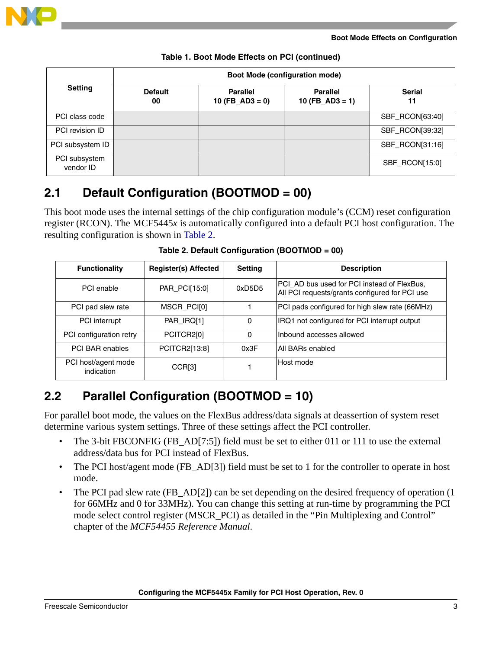

|                            | Boot Mode (configuration mode) |                                    |                                    |                     |  |  |
|----------------------------|--------------------------------|------------------------------------|------------------------------------|---------------------|--|--|
| <b>Setting</b>             | <b>Default</b><br>00           | <b>Parallel</b><br>10 (FB_AD3 = 0) | <b>Parallel</b><br>10 (FB_AD3 = 1) | <b>Serial</b><br>11 |  |  |
| PCI class code             |                                |                                    |                                    | SBF_RCON[63:40]     |  |  |
| PCI revision ID            |                                |                                    |                                    | SBF_RCON[39:32]     |  |  |
| PCI subsystem ID           |                                |                                    |                                    | SBF_RCON[31:16]     |  |  |
| PCI subsystem<br>vendor ID |                                |                                    |                                    | SBF_RCON[15:0]      |  |  |

**Table 1. Boot Mode Effects on PCI (continued)**

### <span id="page-2-0"></span>**2.1 Default Configuration (BOOTMOD = 00)**

This boot mode uses the internal settings of the chip configuration module's (CCM) reset configuration register (RCON). The MCF5445*x* is automatically configured into a default PCI host configuration. The resulting configuration is shown in [Table 2.](#page-2-2)

<span id="page-2-2"></span>

| <b>Functionality</b>              | <b>Register(s) Affected</b> | <b>Setting</b> | <b>Description</b>                                                                            |
|-----------------------------------|-----------------------------|----------------|-----------------------------------------------------------------------------------------------|
| PCI enable                        | PAR_PCI[15:0]               | 0xD5D5         | PCI_AD bus used for PCI instead of FlexBus,<br>All PCI requests/grants configured for PCI use |
| PCI pad slew rate                 | MSCR_PCI[0]                 |                | PCI pads configured for high slew rate (66MHz)                                                |
| <b>PCI</b> interrupt              | PAR_IRQ[1]                  | 0              | IRQ1 not configured for PCI interrupt output                                                  |
| PCI configuration retry           | PCITCR2[0]                  | $\Omega$       | Inbound accesses allowed                                                                      |
| <b>PCI BAR enables</b>            | PCITCR2[13:8]               | 0x3F           | All BARs enabled                                                                              |
| PCI host/agent mode<br>indication | CCR[3]                      |                | Host mode                                                                                     |

**Table 2. Default Configuration (BOOTMOD = 00)**

### <span id="page-2-1"></span>**2.2 Parallel Configuration (BOOTMOD = 10)**

For parallel boot mode, the values on the FlexBus address/data signals at deassertion of system reset determine various system settings. Three of these settings affect the PCI controller.

- The 3-bit FBCONFIG (FB\_AD[7:5]) field must be set to either 011 or 111 to use the external address/data bus for PCI instead of FlexBus.
- The PCI host/agent mode (FB\_AD[3]) field must be set to 1 for the controller to operate in host mode.
- The PCI pad slew rate (FB  $AD[2]$ ) can be set depending on the desired frequency of operation (1) for 66MHz and 0 for 33MHz). You can change this setting at run-time by programming the PCI mode select control register (MSCR\_PCI) as detailed in the "Pin Multiplexing and Control" chapter of the *MCF54455 Reference Manual*.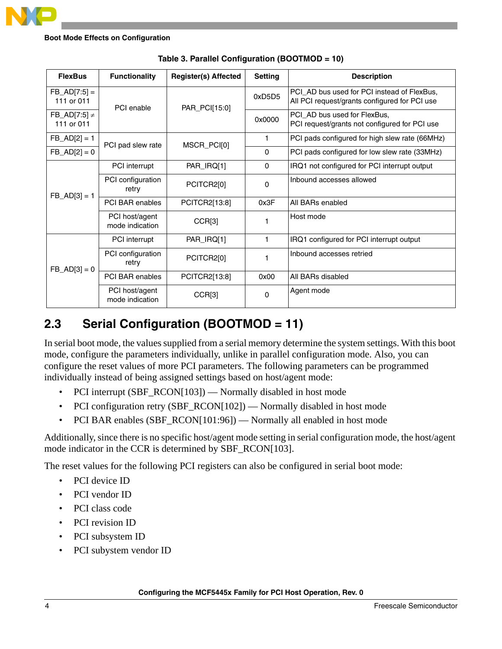

| <b>FlexBus</b>                  | <b>Functionality</b>              | <b>Register(s) Affected</b> | <b>Setting</b> | <b>Description</b>                                                                           |
|---------------------------------|-----------------------------------|-----------------------------|----------------|----------------------------------------------------------------------------------------------|
| $FB_AD[7:5] =$<br>111 or 011    | PCI enable                        | PAR_PCI[15:0]               | 0xD5D5         | PCI_AD bus used for PCI instead of FlexBus,<br>All PCI request/grants configured for PCI use |
| $FB_AD[7:5] \neq$<br>111 or 011 |                                   |                             | 0x0000         | PCI AD bus used for FlexBus,<br>PCI request/grants not configured for PCI use                |
| $FB_AD[2] = 1$                  | PCI pad slew rate                 | MSCR_PCI[0]                 | 1              | PCI pads configured for high slew rate (66MHz)                                               |
| $FB_AD[2] = 0$                  |                                   |                             | 0              | PCI pads configured for low slew rate (33MHz)                                                |
|                                 | PCI interrupt                     | PAR_IRQ[1]                  | 0              | IRQ1 not configured for PCI interrupt output                                                 |
| $FB_AD[3] = 1$                  | PCI configuration<br>retry        | PCITCR2[0]                  | $\Omega$       | Inbound accesses allowed                                                                     |
|                                 | <b>PCI BAR enables</b>            | PCITCR2[13:8]               | 0x3F           | All BARs enabled                                                                             |
|                                 | PCI host/agent<br>mode indication | CCR[3]                      | 1              | Host mode                                                                                    |
|                                 | <b>PCI</b> interrupt              | PAR_IRQ[1]                  | 1              | IRQ1 configured for PCI interrupt output                                                     |
| $FB_AD[3] = 0$                  | PCI configuration<br>retry        | PCITCR2[0]                  |                | Inbound accesses retried                                                                     |
|                                 | <b>PCI BAR enables</b>            | PCITCR2[13:8]               | 0x00           | All BARs disabled                                                                            |
|                                 | PCI host/agent<br>mode indication | CCR[3]                      | $\Omega$       | Agent mode                                                                                   |

### **Table 3. Parallel Configuration (BOOTMOD = 10)**

### <span id="page-3-0"></span>**2.3 Serial Configuration (BOOTMOD = 11)**

In serial boot mode, the values supplied from a serial memory determine the system settings. With this boot mode, configure the parameters individually, unlike in parallel configuration mode. Also, you can configure the reset values of more PCI parameters. The following parameters can be programmed individually instead of being assigned settings based on host/agent mode:

- PCI interrupt (SBF\_RCON[103]) Normally disabled in host mode
- PCI configuration retry (SBF\_RCON[102]) Normally disabled in host mode
- PCI BAR enables (SBF\_RCON[101:96]) Normally all enabled in host mode

Additionally, since there is no specific host/agent mode setting in serial configuration mode, the host/agent mode indicator in the CCR is determined by SBF\_RCON[103].

The reset values for the following PCI registers can also be configured in serial boot mode:

- PCI device ID
- PCI vendor ID
- PCI class code
- PCI revision ID
- PCI subsystem ID
- PCI subystem vendor ID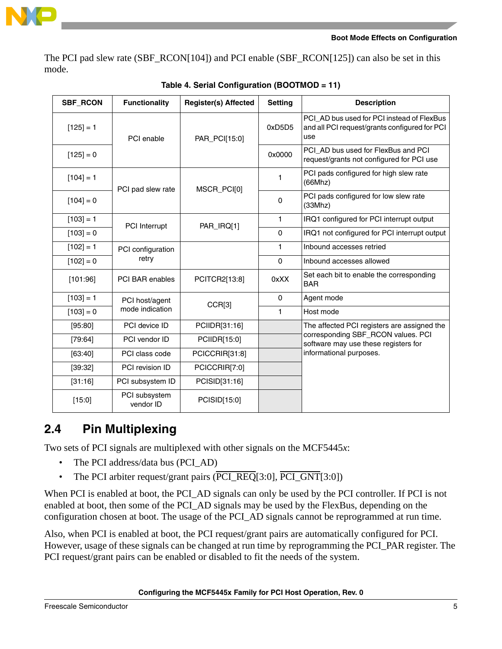

The PCI pad slew rate (SBF\_RCON[104]) and PCI enable (SBF\_RCON[125]) can also be set in this mode.

| <b>SBF_RCON</b> | <b>Functionality</b>       | <b>Register(s) Affected</b> | <b>Setting</b> | <b>Description</b>                                                                                 |
|-----------------|----------------------------|-----------------------------|----------------|----------------------------------------------------------------------------------------------------|
| $[125] = 1$     | PCI enable                 | PAR_PCI[15:0]               | 0xD5D5         | PCI_AD bus used for PCI instead of FlexBus<br>and all PCI request/grants configured for PCI<br>use |
| $[125] = 0$     |                            |                             | 0x0000         | PCI_AD bus used for FlexBus and PCI<br>request/grants not configured for PCI use                   |
| $[104] = 1$     | PCI pad slew rate          | MSCR_PCI[0]                 | 1              | PCI pads configured for high slew rate<br>(66Mhz)                                                  |
| $[104] = 0$     |                            |                             | 0              | PCI pads configured for low slew rate<br>(33Mhz)                                                   |
| $[103] = 1$     | <b>PCI</b> Interrupt       | PAR_IRQ[1]                  | 1              | IRQ1 configured for PCI interrupt output                                                           |
| $[103] = 0$     |                            |                             | 0              | IRQ1 not configured for PCI interrupt output                                                       |
| $[102] = 1$     | PCI configuration          |                             | 1              | Inbound accesses retried                                                                           |
| $[102] = 0$     | retry                      |                             | $\mathbf 0$    | Inbound accesses allowed                                                                           |
| [101:96]        | <b>PCI BAR enables</b>     | PCITCR2[13:8]               | 0xXX           | Set each bit to enable the corresponding<br><b>BAR</b>                                             |
| $[103] = 1$     | PCI host/agent             |                             | 0              | Agent mode                                                                                         |
| $[103] = 0$     | mode indication            | CCR[3]                      | $\mathbf{1}$   | Host mode                                                                                          |
| [95:80]         | PCI device ID              | PCIIDR[31:16]               |                | The affected PCI registers are assigned the                                                        |
| [79:64]         | PCI vendor ID              | PCIIDR[15:0]                |                | corresponding SBF_RCON values. PCI<br>software may use these registers for                         |
| [63:40]         | PCI class code             | PCICCRIR[31:8]              |                | informational purposes.                                                                            |
| [39:32]         | PCI revision ID            | PCICCRIR[7:0]               |                |                                                                                                    |
| [31:16]         | PCI subsystem ID           | PCISID[31:16]               |                |                                                                                                    |
| [15:0]          | PCI subsystem<br>vendor ID | PCISID[15:0]                |                |                                                                                                    |

| Table 4. Serial Configuration (BOOTMOD = 11) |  |
|----------------------------------------------|--|
|----------------------------------------------|--|

### <span id="page-4-0"></span>**2.4 Pin Multiplexing**

Two sets of PCI signals are multiplexed with other signals on the MCF5445*x*:

- The PCI address/data bus (PCI\_AD)
- The PCI arbiter request/grant pairs  $(\overline{PCI\_REQ}[3:0], \overline{PCI\_GNT}[3:0])$

When PCI is enabled at boot, the PCI\_AD signals can only be used by the PCI controller. If PCI is not enabled at boot, then some of the PCI\_AD signals may be used by the FlexBus, depending on the configuration chosen at boot. The usage of the PCI\_AD signals cannot be reprogrammed at run time.

Also, when PCI is enabled at boot, the PCI request/grant pairs are automatically configured for PCI. However, usage of these signals can be changed at run time by reprogramming the PCI\_PAR register. The PCI request/grant pairs can be enabled or disabled to fit the needs of the system.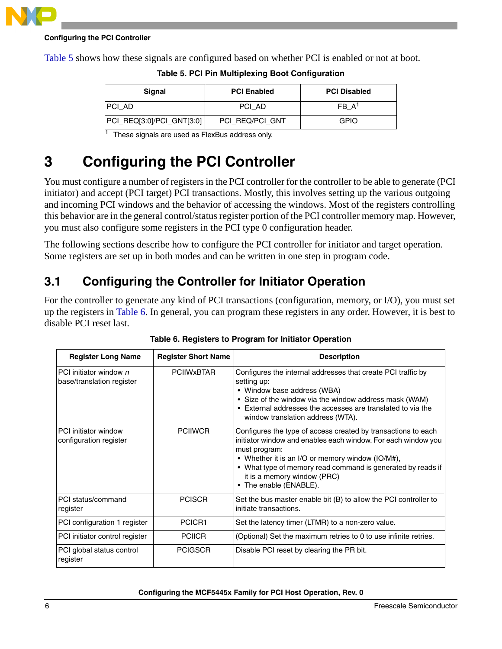

#### **Configuring the PCI Controller**

<span id="page-5-3"></span>[Table 5](#page-5-3) shows how these signals are configured based on whether PCI is enabled or not at boot.

| FB A <sup>1</sup> |
|-------------------|
| <b>GPIO</b>       |
|                   |

**Table 5. PCI Pin Multiplexing Boot Configuration**

 $1$  These signals are used as FlexBus address only.

# <span id="page-5-0"></span>**3 Configuring the PCI Controller**

You must configure a number of registers in the PCI controller for the controller to be able to generate (PCI initiator) and accept (PCI target) PCI transactions. Mostly, this involves setting up the various outgoing and incoming PCI windows and the behavior of accessing the windows. Most of the registers controlling this behavior are in the general control/status register portion of the PCI controller memory map. However, you must also configure some registers in the PCI type 0 configuration header.

The following sections describe how to configure the PCI controller for initiator and target operation. Some registers are set up in both modes and can be written in one step in program code.

### <span id="page-5-1"></span>**3.1 Configuring the Controller for Initiator Operation**

For the controller to generate any kind of PCI transactions (configuration, memory, or I/O), you must set up the registers in [Table 6](#page-5-2). In general, you can program these registers in any order. However, it is best to disable PCI reset last.

<span id="page-5-2"></span>

| <b>Register Long Name</b>                           | <b>Register Short Name</b> | <b>Description</b>                                                                                                                                                                                                                                                                                                          |
|-----------------------------------------------------|----------------------------|-----------------------------------------------------------------------------------------------------------------------------------------------------------------------------------------------------------------------------------------------------------------------------------------------------------------------------|
| PCI initiator window n<br>base/translation register | <b>PCIIWXBTAR</b>          | Configures the internal addresses that create PCI traffic by<br>setting up:<br>• Window base address (WBA)<br>• Size of the window via the window address mask (WAM)<br>• External addresses the accesses are translated to via the<br>window translation address (WTA).                                                    |
| PCI initiator window<br>configuration register      | <b>PCIIWCR</b>             | Configures the type of access created by transactions to each<br>initiator window and enables each window. For each window you<br>must program:<br>• Whether it is an I/O or memory window (IO/M#),<br>• What type of memory read command is generated by reads if<br>it is a memory window (PRC)<br>• The enable (ENABLE). |
| PCI status/command<br>register                      | <b>PCISCR</b>              | Set the bus master enable bit (B) to allow the PCI controller to<br>initiate transactions.                                                                                                                                                                                                                                  |
| PCI configuration 1 register                        | PCICR1                     | Set the latency timer (LTMR) to a non-zero value.                                                                                                                                                                                                                                                                           |
| PCI initiator control register                      | <b>PCIICR</b>              | (Optional) Set the maximum retries to 0 to use infinite retries.                                                                                                                                                                                                                                                            |
| PCI global status control<br>register               | <b>PCIGSCR</b>             | Disable PCI reset by clearing the PR bit.                                                                                                                                                                                                                                                                                   |

**Table 6. Registers to Program for Initiator Operation**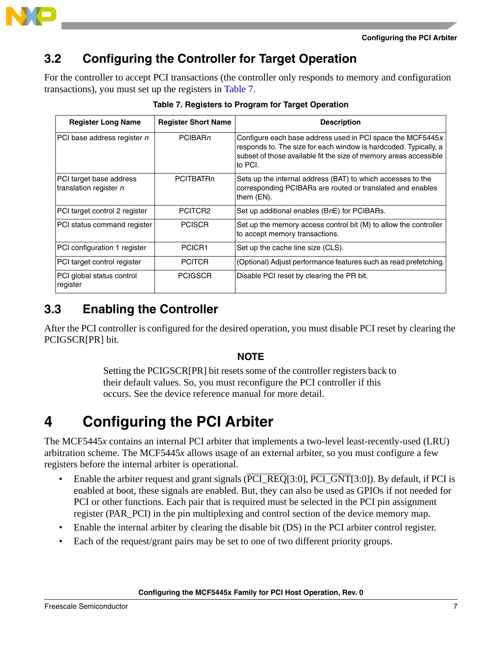

### <span id="page-6-0"></span>**3.2 Configuring the Controller for Target Operation**

For the controller to accept PCI transactions (the controller only responds to memory and configuration transactions), you must set up the registers in [Table 7](#page-6-3).

<span id="page-6-3"></span>

| <b>Register Long Name</b>                         | <b>Register Short Name</b> | <b>Description</b>                                                                                                                                                                                             |
|---------------------------------------------------|----------------------------|----------------------------------------------------------------------------------------------------------------------------------------------------------------------------------------------------------------|
| PCI base address register n                       | PCIBARn                    | Configure each base address used in PCI space the MCF5445x<br>responds to. The size for each window is hardcoded. Typically, a<br>subset of those available fit the size of memory areas accessible<br>to PCI. |
| PCI target base address<br>translation register n | <b>PCITBATRn</b>           | Sets up the internal address (BAT) to which accesses to the<br>corresponding PCIBARs are routed or translated and enables<br>them $(EN)$ .                                                                     |
| PCI target control 2 register                     | PCITCR <sub>2</sub>        | Set up additional enables (BnE) for PCIBARs.                                                                                                                                                                   |
| PCI status command register                       | <b>PCISCR</b>              | Set up the memory access control bit (M) to allow the controller<br>to accept memory transactions.                                                                                                             |
| PCI configuration 1 register                      | PCICR1                     | Set up the cache line size (CLS).                                                                                                                                                                              |
| PCI target control register                       | <b>PCITCR</b>              | (Optional) Adjust performance features such as read prefetching.                                                                                                                                               |
| PCI global status control<br>register             | <b>PCIGSCR</b>             | Disable PCI reset by clearing the PR bit.                                                                                                                                                                      |

**Table 7. Registers to Program for Target Operation**

### <span id="page-6-1"></span>**3.3 Enabling the Controller**

After the PCI controller is configured for the desired operation, you must disable PCI reset by clearing the PCIGSCR[PR] bit.

### **NOTE**

Setting the PCIGSCR[PR] bit resets some of the controller registers back to their default values. So, you must reconfigure the PCI controller if this occurs. See the device reference manual for more detail.

# <span id="page-6-2"></span>**4 Configuring the PCI Arbiter**

The MCF5445*x* contains an internal PCI arbiter that implements a two-level least-recently-used (LRU) arbitration scheme. The MCF5445*x* allows usage of an external arbiter, so you must configure a few registers before the internal arbiter is operational.

- Enable the arbiter request and grant signals ( $\overline{PCI~REQ[3:0]}$ ,  $\overline{PCI~GNT[3:0]}$ ). By default, if PCI is enabled at boot, these signals are enabled. But, they can also be used as GPIOs if not needed for PCI or other functions. Each pair that is required must be selected in the PCI pin assignment register (PAR\_PCI) in the pin multiplexing and control section of the device memory map.
- Enable the internal arbiter by clearing the disable bit (DS) in the PCI arbiter control register.
- Each of the request/grant pairs may be set to one of two different priority groups.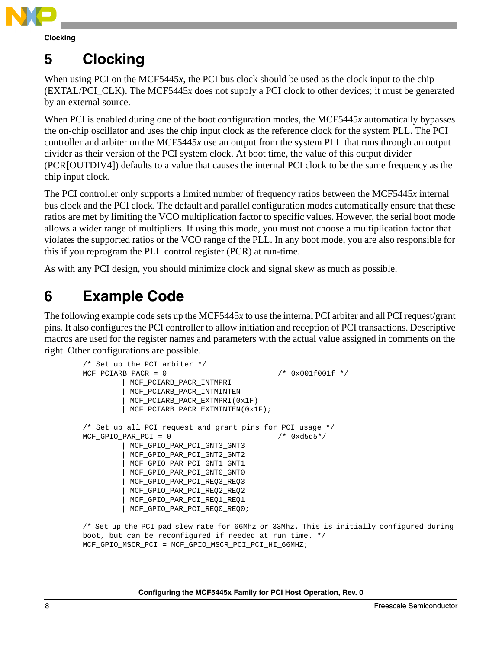

```
Clocking
```
# <span id="page-7-0"></span>**5 Clocking**

When using PCI on the MCF5445*x*, the PCI bus clock should be used as the clock input to the chip (EXTAL/PCI CLK). The MCF5445 $x$  does not supply a PCI clock to other devices; it must be generated by an external source.

When PCI is enabled during one of the boot configuration modes, the MCF5445*x* automatically bypasses the on-chip oscillator and uses the chip input clock as the reference clock for the system PLL. The PCI controller and arbiter on the MCF5445*x* use an output from the system PLL that runs through an output divider as their version of the PCI system clock. At boot time, the value of this output divider (PCR[OUTDIV4]) defaults to a value that causes the internal PCI clock to be the same frequency as the chip input clock.

The PCI controller only supports a limited number of frequency ratios between the MCF5445*x* internal bus clock and the PCI clock. The default and parallel configuration modes automatically ensure that these ratios are met by limiting the VCO multiplication factor to specific values. However, the serial boot mode allows a wider range of multipliers. If using this mode, you must not choose a multiplication factor that violates the supported ratios or the VCO range of the PLL. In any boot mode, you are also responsible for this if you reprogram the PLL control register (PCR) at run-time.

As with any PCI design, you should minimize clock and signal skew as much as possible.

# <span id="page-7-1"></span>**6 Example Code**

The following example code sets up the MCF5445*x* to use the internal PCI arbiter and all PCI request/grant pins. It also configures the PCI controller to allow initiation and reception of PCI transactions. Descriptive macros are used for the register names and parameters with the actual value assigned in comments on the right. Other configurations are possible.

```
/* Set up the PCI arbiter */
MCF_PCIARB_PACR = 0 /* 0x001f001f */
        | MCF_PCIARB_PACR_INTMPRI 
        | MCF_PCIARB_PACR_INTMINTEN 
        | MCF_PCIARB_PACR_EXTMPRI(0x1F)
        | MCF_PCIARB_PACR_EXTMINTEN(0x1F);
/* Set up all PCI request and grant pins for PCI usage */ 
MCF_GPIO_PAR_PCI = 0 /* 0xd5d5*/
         | MCF_GPIO_PAR_PCI_GNT3_GNT3
         MCF GPIO PAR PCI GNT2 GNT2
        | MCF_GPIO_PAR_PCI_GNT1_GNT1
        | MCF_GPIO_PAR_PCI_GNT0_GNT0
        | MCF_GPIO_PAR_PCI_REQ3_REQ3
        | MCF_GPIO_PAR_PCI_REQ2_REQ2
        | MCF_GPIO_PAR_PCI_REQ1_REQ1
        | MCF GPIO PAR PCI REQ0 REQ0;
```
/\* Set up the PCI pad slew rate for 66Mhz or 33Mhz. This is initially configured during boot, but can be reconfigured if needed at run time. \*/ MCF\_GPIO\_MSCR\_PCI = MCF\_GPIO\_MSCR\_PCI\_PCI\_HI\_66MHZ;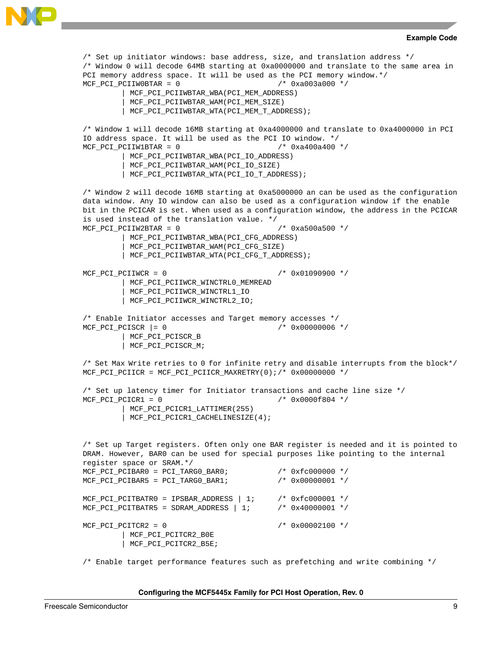#### **Example Code**



```
/* Set up initiator windows: base address, size, and translation address */
/* Window 0 will decode 64MB starting at 0xa0000000 and translate to the same area in 
PCI memory address space. It will be used as the PCI memory window.*/
MCF_PCI_PCIIW0BTAR = 0 /* 0xa003a000 */
        | MCF_PCI_PCIIWBTAR_WBA(PCI_MEM_ADDRESS)
        | MCF_PCI_PCIIWBTAR_WAM(PCI_MEM_SIZE)
        | MCF_PCI_PCIIWBTAR_WTA(PCI_MEM_T_ADDRESS);
/* Window 1 will decode 16MB starting at 0xa4000000 and translate to 0xa4000000 in PCI 
IO address space. It will be used as the PCI IO window. */
MCF PCI_PCIIW1BTAR = 0 \frac{1}{2} /* 0xa400a400 */
        | MCF_PCI_PCIIWBTAR_WBA(PCI_IO_ADDRESS)
        | MCF_PCI_PCIIWBTAR_WAM(PCI_IO_SIZE)
        | MCF_PCI_PCIIWBTAR_WTA(PCI_IO_T_ADDRESS);
/* Window 2 will decode 16MB starting at 0xa5000000 an can be used as the configuration
data window. Any IO window can also be used as a configuration window if the enable
bit in the PCICAR is set. When used as a configuration window, the address in the PCICAR
is used instead of the translation value. */
MCF_PCI_PCIIW2BTAR = 0 /* 0xa500a500 */
        | MCF_PCI_PCIIWBTAR_WBA(PCI_CFG_ADDRESS)
         MCF_PCI_PCIIWBTAR_WAM(PCI_CFG_SIZE)
        | MCF_PCI_PCIIWBTAR_WTA(PCI_CFG_T_ADDRESS);
MCF_PCI_PCIIWCR = 0 /* 0x01090900 */
        | MCF_PCI_PCIIWCR_WINCTRL0_MEMREAD
        | MCF_PCI_PCIIWCR_WINCTRL1_IO
        | MCF_PCI_PCIIWCR_WINCTRL2_IO;
/* Enable Initiator accesses and Target memory accesses */
MCF_PCI_PCISCR |= 0 /* 0x00000006 */
        | MCF_PCI_PCISCR_B
        | MCF_PCI_PCISCR_M;
/* Set Max Write retries to 0 for infinite retry and disable interrupts from the block*/
MCF_PCI_PCIICR = MCF_PCI_PCIICR_MAXRETRY(0);/* 0x00000000 */
/* Set up latency timer for Initiator transactions and cache line size */
MCF_PCI_PCICR1 = 0 /* 0x0000f804 */
        | MCF_PCI_PCICR1_LATTIMER(255)
        | MCF PCI PCICR1 CACHELINESIZE(4);
/* Set up Target registers. Often only one BAR register is needed and it is pointed to
DRAM. However, BAR0 can be used for special purposes like pointing to the internal
register space or SRAM.*/
MCF PCI PCIBAR0 = PCI TARG0 BAR0; /* 0xfc000000 */
MCF_PCI_PCIBAR5 = PCI_TARG0_BAR1; /* 0x00000001 */
MCF\_PCI\_PCI}TBATRO = IPSBAR_ADDRESS | 1; /* 0xfc000001 */
MCF_PCI_PCITBATR5 = SDRAM_ADDRESS | 1; /* 0x40000001 */
MCF_PCI_PCITCR2 = 0 /* 0x00002100 */
        | MCF_PCI_PCITCR2_B0E 
        | MCF_PCI_PCITCR2_B5E;
```
/\* Enable target performance features such as prefetching and write combining \*/

### **Configuring the MCF5445x Family for PCI Host Operation, Rev. 0**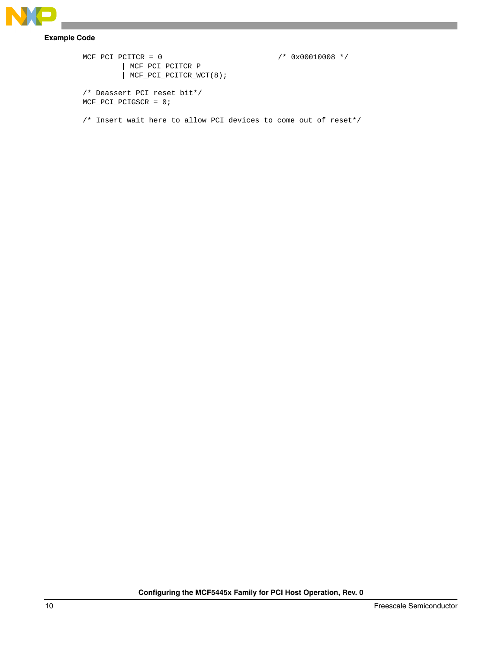

**Example Code**

```
MCF_PCI_PCITCR = 0 /* 0x00010008 */
        | MCF_PCI_PCITCR_P
        | MCF_PCI_PCITCR_WCT(8);
/* Deassert PCI reset bit*/
MCF_PCI_PCIGSCR = 0;
/* Insert wait here to allow PCI devices to come out of reset*/
```
**Configuring the MCF5445x Family for PCI Host Operation, Rev. 0**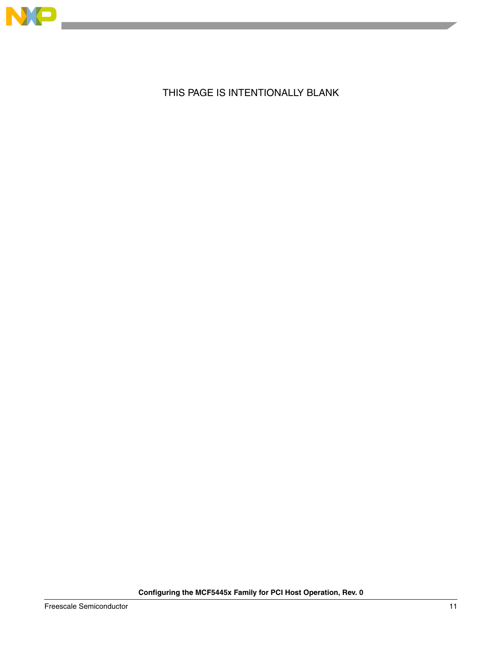

THIS PAGE IS INTENTIONALLY BLANK